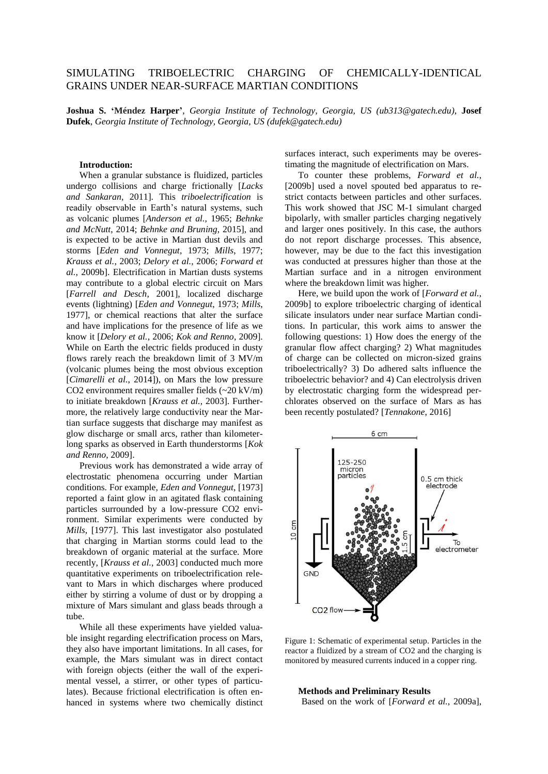## SIMULATING TRIBOELECTRIC CHARGING OF CHEMICALLY-IDENTICAL GRAINS UNDER NEAR-SURFACE MARTIAN CONDITIONS

**Joshua S. 'Méndez Harper'**, *Georgia Institute of Technology, Georgia, US (ub313@gatech.edu)*, **Josef Dufek**, *Georgia Institute of Technology, Georgia, US (dufek@gatech.edu)*

## **Introduction:**

When a granular substance is fluidized, particles undergo collisions and charge frictionally [*Lacks and Sankaran*, 2011]. This *triboelectrification* is readily observable in Earth's natural systems, such as volcanic plumes [*Anderson et al.*, 1965; *Behnke and McNutt*, 2014; *Behnke and Bruning*, 2015], and is expected to be active in Martian dust devils and storms [*Eden and Vonnegut*, 1973; *Mills*, 1977; *Krauss et al.*, 2003; *Delory et al.*, 2006; *Forward et al.*, 2009b]. Electrification in Martian dusts systems may contribute to a global electric circuit on Mars [*Farrell and Desch*, 2001], localized discharge events (lightning) [*Eden and Vonnegut*, 1973; *Mills*, 1977], or chemical reactions that alter the surface and have implications for the presence of life as we know it [*Delory et al.*, 2006; *Kok and Renno*, 2009]. While on Earth the electric fields produced in dusty flows rarely reach the breakdown limit of 3 MV/m (volcanic plumes being the most obvious exception [*Cimarelli et al.*, 2014]), on Mars the low pressure CO2 environment requires smaller fields (~20 kV/m) to initiate breakdown [*Krauss et al.*, 2003]. Furthermore, the relatively large conductivity near the Martian surface suggests that discharge may manifest as glow discharge or small arcs, rather than kilometerlong sparks as observed in Earth thunderstorms [*Kok and Renno*, 2009].

Previous work has demonstrated a wide array of electrostatic phenomena occurring under Martian conditions. For example, *Eden and Vonnegut*, [1973] reported a faint glow in an agitated flask containing particles surrounded by a low-pressure CO2 environment. Similar experiments were conducted by *Mills*, [1977]. This last investigator also postulated that charging in Martian storms could lead to the breakdown of organic material at the surface. More recently, [*Krauss et al.*, 2003] conducted much more quantitative experiments on triboelectrification relevant to Mars in which discharges where produced either by stirring a volume of dust or by dropping a mixture of Mars simulant and glass beads through a tube.

While all these experiments have yielded valuable insight regarding electrification process on Mars, they also have important limitations. In all cases, for example, the Mars simulant was in direct contact with foreign objects (either the wall of the experimental vessel, a stirrer, or other types of particulates). Because frictional electrification is often enhanced in systems where two chemically distinct surfaces interact, such experiments may be overestimating the magnitude of electrification on Mars.

To counter these problems, *Forward et al.*, [2009b] used a novel spouted bed apparatus to restrict contacts between particles and other surfaces. This work showed that JSC M-1 simulant charged bipolarly, with smaller particles charging negatively and larger ones positively. In this case, the authors do not report discharge processes. This absence, however, may be due to the fact this investigation was conducted at pressures higher than those at the Martian surface and in a nitrogen environment where the breakdown limit was higher.

Here, we build upon the work of [*Forward et al.*, 2009b] to explore triboelectric charging of identical silicate insulators under near surface Martian conditions. In particular, this work aims to answer the following questions: 1) How does the energy of the granular flow affect charging? 2) What magnitudes of charge can be collected on micron-sized grains triboelectrically? 3) Do adhered salts influence the triboelectric behavior? and 4) Can electrolysis driven by electrostatic charging form the widespread perchlorates observed on the surface of Mars as has been recently postulated? [*Tennakone*, 2016]



Figure 1: Schematic of experimental setup. Particles in the reactor a fluidized by a stream of CO2 and the charging is monitored by measured currents induced in a copper ring.

**Methods and Preliminary Results** Based on the work of [*Forward et al.*, 2009a],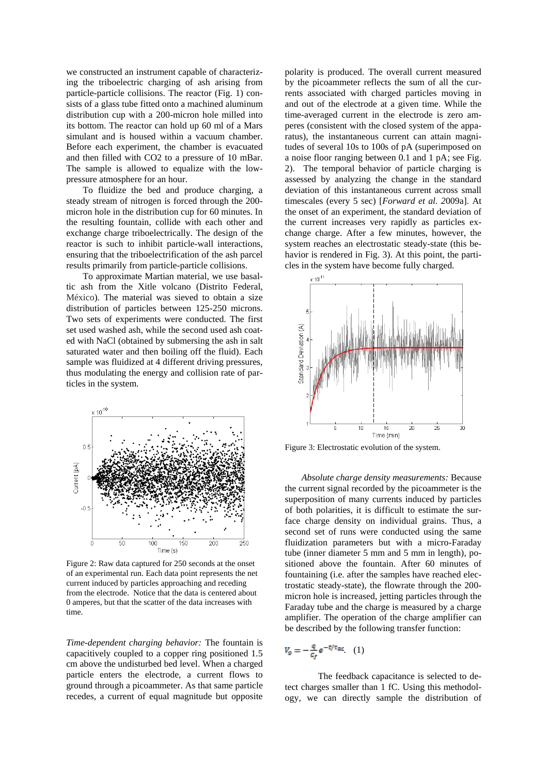we constructed an instrument capable of characterizing the triboelectric charging of ash arising from particle-particle collisions. The reactor (Fig. 1) consists of a glass tube fitted onto a machined aluminum distribution cup with a 200-micron hole milled into its bottom. The reactor can hold up 60 ml of a Mars simulant and is housed within a vacuum chamber. Before each experiment, the chamber is evacuated and then filled with CO2 to a pressure of 10 mBar. The sample is allowed to equalize with the lowpressure atmosphere for an hour.

To fluidize the bed and produce charging, a steady stream of nitrogen is forced through the 200 micron hole in the distribution cup for 60 minutes. In the resulting fountain, collide with each other and exchange charge triboelectrically. The design of the reactor is such to inhibit particle-wall interactions, ensuring that the triboelectrification of the ash parcel results primarily from particle-particle collisions.

To approximate Martian material, we use basaltic ash from the Xitle volcano (Distrito Federal, México). The material was sieved to obtain a size distribution of particles between 125-250 microns. Two sets of experiments were conducted. The first set used washed ash, while the second used ash coated with NaCl (obtained by submersing the ash in salt saturated water and then boiling off the fluid). Each sample was fluidized at 4 different driving pressures, thus modulating the energy and collision rate of particles in the system.



Figure 2: Raw data captured for 250 seconds at the onset of an experimental run. Each data point represents the net current induced by particles approaching and receding from the electrode. Notice that the data is centered about 0 amperes, but that the scatter of the data increases with time.

*Time-dependent charging behavior:* The fountain is capacitively coupled to a copper ring positioned 1.5 cm above the undisturbed bed level. When a charged particle enters the electrode, a current flows to ground through a picoammeter. As that same particle recedes, a current of equal magnitude but opposite

polarity is produced. The overall current measured by the picoammeter reflects the sum of all the currents associated with charged particles moving in and out of the electrode at a given time. While the time-averaged current in the electrode is zero amperes (consistent with the closed system of the apparatus), the instantaneous current can attain magnitudes of several 10s to 100s of pA (superimposed on a noise floor ranging between 0.1 and 1 pA; see Fig. 2). The temporal behavior of particle charging is assessed by analyzing the change in the standard deviation of this instantaneous current across small timescales (every 5 sec) [*Forward et al. 2*009a]. At the onset of an experiment, the standard deviation of the current increases very rapidly as particles exchange charge. After a few minutes, however, the system reaches an electrostatic steady-state (this behavior is rendered in Fig. 3). At this point, the particles in the system have become fully charged.



Figure 3: Electrostatic evolution of the system.

*Absolute charge density measurements:* Because the current signal recorded by the picoammeter is the superposition of many currents induced by particles of both polarities, it is difficult to estimate the surface charge density on individual grains. Thus, a second set of runs were conducted using the same fluidization parameters but with a micro-Faraday tube (inner diameter 5 mm and 5 mm in length), positioned above the fountain. After 60 minutes of fountaining (i.e. after the samples have reached electrostatic steady-state), the flowrate through the 200 micron hole is increased, jetting particles through the Faraday tube and the charge is measured by a charge amplifier. The operation of the charge amplifier can be described by the following transfer function:

$$
V_o = -\frac{q}{c_f} e^{-t/\tau_{RC}} \quad (1)
$$

The feedback capacitance is selected to detect charges smaller than 1 fC. Using this methodology, we can directly sample the distribution of